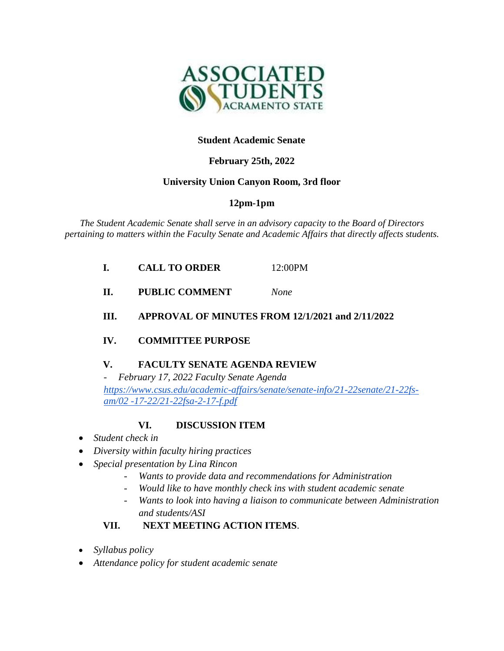

### **Student Academic Senate**

## **February 25th, 2022**

### **University Union Canyon Room, 3rd floor**

# **12pm-1pm**

*The Student Academic Senate shall serve in an advisory capacity to the Board of Directors pertaining to matters within the Faculty Senate and Academic Affairs that directly affects students.*

| <b>CALL TO ORDER</b> | 12:00PM |
|----------------------|---------|
|                      |         |

**II. PUBLIC COMMENT** *None*

#### **III. APPROVAL OF MINUTES FROM 12/1/2021 and 2/11/2022**

### **IV. COMMITTEE PURPOSE**

### **V. FACULTY SENATE AGENDA REVIEW**

*- February 17, 2022 Faculty Senate Agenda [https://www.csus.edu/academic-affairs/senate/senate-info/21-22senate/21-22fs](https://www.csus.edu/academic-affairs/senate/senate-info/21-22senate/21-22fs-am/02-17-22/21-22fsa-2-17-f.pdf)[am/02 -17-22/21-22fsa-2-17-f.pdf](https://www.csus.edu/academic-affairs/senate/senate-info/21-22senate/21-22fs-am/02-17-22/21-22fsa-2-17-f.pdf)*

### **VI. DISCUSSION ITEM**

- *Student check in*
- *Diversity within faculty hiring practices*
- *Special presentation by Lina Rincon*
	- *Wants to provide data and recommendations for Administration*
	- *Would like to have monthly check ins with student academic senate*
	- *Wants to look into having a liaison to communicate between Administration and students/ASI*

### **VII. NEXT MEETING ACTION ITEMS**.

- *Syllabus policy*
- *Attendance policy for student academic senate*